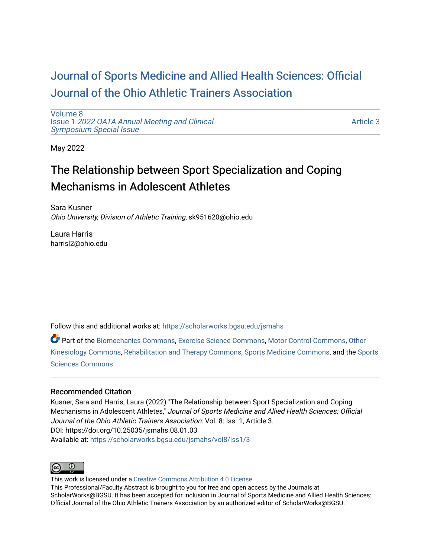# [Journal of Sports Medicine and Allied Health Sciences: Official](https://scholarworks.bgsu.edu/jsmahs)  [Journal of the Ohio Athletic Trainers Association](https://scholarworks.bgsu.edu/jsmahs)

[Volume 8](https://scholarworks.bgsu.edu/jsmahs/vol8) Issue 1 [2022 OATA Annual Meeting and Clinical](https://scholarworks.bgsu.edu/jsmahs/vol8/iss1) [Symposium Special Issue](https://scholarworks.bgsu.edu/jsmahs/vol8/iss1)

[Article 3](https://scholarworks.bgsu.edu/jsmahs/vol8/iss1/3) 

May 2022

# The Relationship between Sport Specialization and Coping Mechanisms in Adolescent Athletes

Sara Kusner Ohio University, Division of Athletic Training, sk951620@ohio.edu

Laura Harris harrisl2@ohio.edu

Follow this and additional works at: [https://scholarworks.bgsu.edu/jsmahs](https://scholarworks.bgsu.edu/jsmahs?utm_source=scholarworks.bgsu.edu%2Fjsmahs%2Fvol8%2Fiss1%2F3&utm_medium=PDF&utm_campaign=PDFCoverPages)

Part of the [Biomechanics Commons,](https://network.bepress.com/hgg/discipline/43?utm_source=scholarworks.bgsu.edu%2Fjsmahs%2Fvol8%2Fiss1%2F3&utm_medium=PDF&utm_campaign=PDFCoverPages) [Exercise Science Commons](https://network.bepress.com/hgg/discipline/1091?utm_source=scholarworks.bgsu.edu%2Fjsmahs%2Fvol8%2Fiss1%2F3&utm_medium=PDF&utm_campaign=PDFCoverPages), [Motor Control Commons](https://network.bepress.com/hgg/discipline/45?utm_source=scholarworks.bgsu.edu%2Fjsmahs%2Fvol8%2Fiss1%2F3&utm_medium=PDF&utm_campaign=PDFCoverPages), [Other](https://network.bepress.com/hgg/discipline/47?utm_source=scholarworks.bgsu.edu%2Fjsmahs%2Fvol8%2Fiss1%2F3&utm_medium=PDF&utm_campaign=PDFCoverPages)  [Kinesiology Commons,](https://network.bepress.com/hgg/discipline/47?utm_source=scholarworks.bgsu.edu%2Fjsmahs%2Fvol8%2Fiss1%2F3&utm_medium=PDF&utm_campaign=PDFCoverPages) [Rehabilitation and Therapy Commons](https://network.bepress.com/hgg/discipline/749?utm_source=scholarworks.bgsu.edu%2Fjsmahs%2Fvol8%2Fiss1%2F3&utm_medium=PDF&utm_campaign=PDFCoverPages), [Sports Medicine Commons](https://network.bepress.com/hgg/discipline/1331?utm_source=scholarworks.bgsu.edu%2Fjsmahs%2Fvol8%2Fiss1%2F3&utm_medium=PDF&utm_campaign=PDFCoverPages), and the [Sports](https://network.bepress.com/hgg/discipline/759?utm_source=scholarworks.bgsu.edu%2Fjsmahs%2Fvol8%2Fiss1%2F3&utm_medium=PDF&utm_campaign=PDFCoverPages)  [Sciences Commons](https://network.bepress.com/hgg/discipline/759?utm_source=scholarworks.bgsu.edu%2Fjsmahs%2Fvol8%2Fiss1%2F3&utm_medium=PDF&utm_campaign=PDFCoverPages) 

#### Recommended Citation

Kusner, Sara and Harris, Laura (2022) "The Relationship between Sport Specialization and Coping Mechanisms in Adolescent Athletes," Journal of Sports Medicine and Allied Health Sciences: Official Journal of the Ohio Athletic Trainers Association: Vol. 8: Iss. 1, Article 3. DOI: https://doi.org/10.25035/jsmahs.08.01.03 Available at: [https://scholarworks.bgsu.edu/jsmahs/vol8/iss1/3](https://scholarworks.bgsu.edu/jsmahs/vol8/iss1/3?utm_source=scholarworks.bgsu.edu%2Fjsmahs%2Fvol8%2Fiss1%2F3&utm_medium=PDF&utm_campaign=PDFCoverPages)



This work is licensed under a [Creative Commons Attribution 4.0 License](https://creativecommons.org/licenses/by/4.0/). This Professional/Faculty Abstract is brought to you for free and open access by the Journals at ScholarWorks@BGSU. It has been accepted for inclusion in Journal of Sports Medicine and Allied Health Sciences: Official Journal of the Ohio Athletic Trainers Association by an authorized editor of ScholarWorks@BGSU.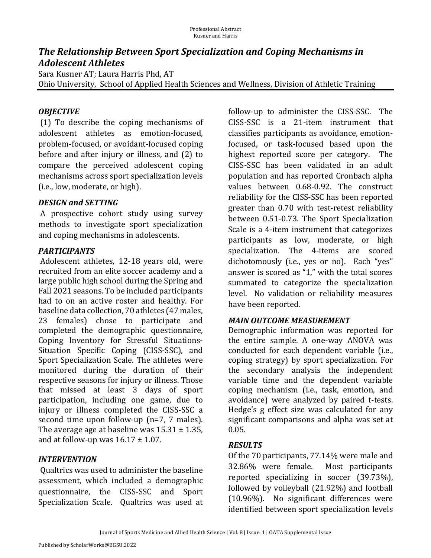# **The Relationship Between Sport Specialization and Coping Mechanisms in** *Adolescent Athletes*

Sara Kusner AT; Laura Harris Phd, AT Ohio University, School of Applied Health Sciences and Wellness, Division of Athletic Training

## *OBJECTIVE*

(1) To describe the coping mechanisms of adolescent athletes as emotion-focused, problem-focused, or avoidant-focused coping before and after injury or illness, and (2) to compare the perceived adolescent coping mechanisms across sport specialization levels (i.e., low, moderate, or high).

#### **DESIGN and SETTING**

A prospective cohort study using survey methods to investigate sport specialization and coping mechanisms in adolescents.

## *PARTICIPANTS*

Adolescent athletes, 12-18 years old, were recruited from an elite soccer academy and a large public high school during the Spring and Fall 2021 seasons. To be included participants had to on an active roster and healthy. For baseline data collection, 70 athletes (47 males, 23 females) chose to participate and completed the demographic questionnaire, Coping Inventory for Stressful Situations-Situation Specific Coping (CISS-SSC), and Sport Specialization Scale. The athletes were monitored during the duration of their respective seasons for injury or illness. Those that missed at least 3 days of sport participation, including one game, due to injury or illness completed the CISS-SSC a second time upon follow-up  $(n=7, 7 \text{ males})$ . The average age at baseline was  $15.31 \pm 1.35$ , and at follow-up was  $16.17 \pm 1.07$ .

## *INTERVENTION*

Qualtrics was used to administer the baseline assessment, which included a demographic questionnaire, the CISS-SSC and Sport Specialization Scale. Qualtrics was used at follow-up to administer the CISS-SSC. The CISS-SSC is a 21-item instrument that classifies participants as avoidance, emotionfocused, or task-focused based upon the highest reported score per category. The CISS-SSC has been validated in an adult population and has reported Cronbach alpha values between 0.68-0.92. The construct reliability for the CISS-SSC has been reported greater than 0.70 with test-retest reliability between 0.51-0.73. The Sport Specialization Scale is a 4-item instrument that categorizes participants as low, moderate, or high specialization. The 4-items are scored dichotomously (i.e., yes or no). Each "yes" answer is scored as "1," with the total scores summated to categorize the specialization level. No validation or reliability measures have been reported.

## *MAIN.OUTCOME.MEASUREMENT*

Demographic information was reported for the entire sample. A one-way ANOVA was conducted for each dependent variable (i.e., coping strategy) by sport specialization. For the secondary analysis the independent variable time and the dependent variable coping mechanism (i.e., task, emotion, and avoidance) were analyzed by paired t-tests. Hedge's g effect size was calculated for any significant comparisons and alpha was set at 0.05.

#### *RESULTS*

Of the 70 participants, 77.14% were male and 32.86% were female. Most participants reported specializing in soccer (39.73%), followed by volleyball  $(21.92\%)$  and football  $(10.96\%)$ . No significant differences were identified between sport specialization levels